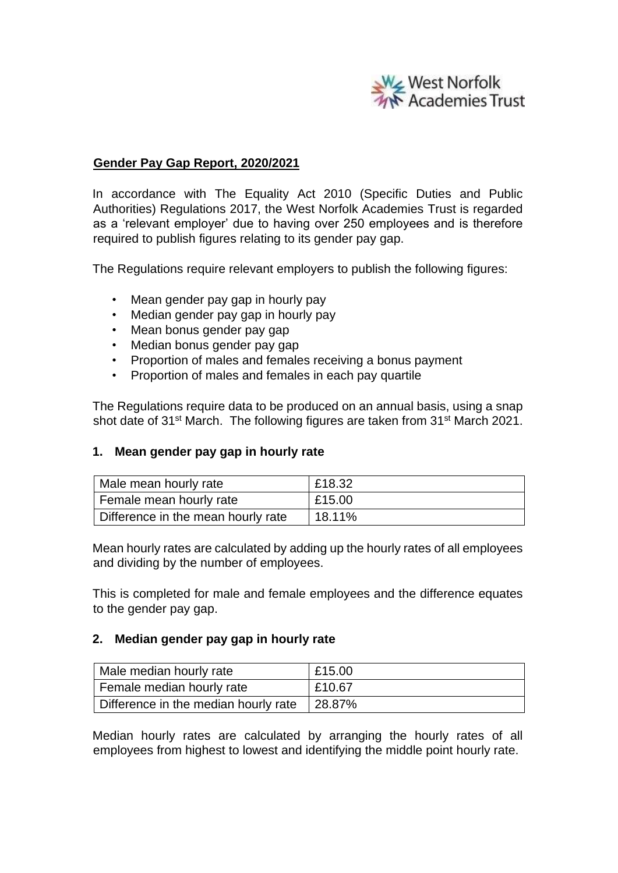

### **Gender Pay Gap Report, 2020/2021**

In accordance with The Equality Act 2010 (Specific Duties and Public Authorities) Regulations 2017, the West Norfolk Academies Trust is regarded as a 'relevant employer' due to having over 250 employees and is therefore required to publish figures relating to its gender pay gap.

The Regulations require relevant employers to publish the following figures:

- Mean gender pay gap in hourly pay
- Median gender pay gap in hourly pay
- Mean bonus gender pay gap
- Median bonus gender pay gap
- Proportion of males and females receiving a bonus payment
- Proportion of males and females in each pay quartile

The Regulations require data to be produced on an annual basis, using a snap shot date of 31<sup>st</sup> March. The following figures are taken from 31<sup>st</sup> March 2021.

#### **1. Mean gender pay gap in hourly rate**

| Male mean hourly rate              | £18.32 |
|------------------------------------|--------|
| Female mean hourly rate            | £15.00 |
| Difference in the mean hourly rate | 18.11% |

Mean hourly rates are calculated by adding up the hourly rates of all employees and dividing by the number of employees.

This is completed for male and female employees and the difference equates to the gender pay gap.

#### **2. Median gender pay gap in hourly rate**

| Male median hourly rate              | £15.00 |
|--------------------------------------|--------|
| Female median hourly rate            | £10.67 |
| Difference in the median hourly rate | 28.87% |

Median hourly rates are calculated by arranging the hourly rates of all employees from highest to lowest and identifying the middle point hourly rate.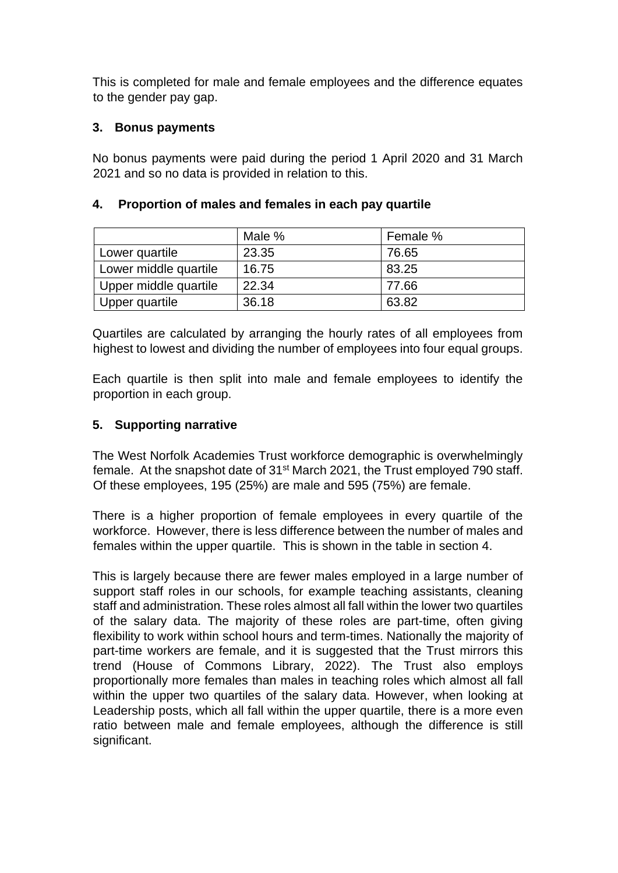This is completed for male and female employees and the difference equates to the gender pay gap.

## **3. Bonus payments**

No bonus payments were paid during the period 1 April 2020 and 31 March 2021 and so no data is provided in relation to this.

|                       | Male % | Female % |
|-----------------------|--------|----------|
| Lower quartile        | 23.35  | 76.65    |
| Lower middle quartile | 16.75  | 83.25    |
| Upper middle quartile | 22.34  | 77.66    |
| Upper quartile        | 36.18  | 63.82    |

# **4. Proportion of males and females in each pay quartile**

Quartiles are calculated by arranging the hourly rates of all employees from highest to lowest and dividing the number of employees into four equal groups.

Each quartile is then split into male and female employees to identify the proportion in each group.

## **5. Supporting narrative**

The West Norfolk Academies Trust workforce demographic is overwhelmingly female. At the snapshot date of 31<sup>st</sup> March 2021, the Trust employed 790 staff. Of these employees, 195 (25%) are male and 595 (75%) are female.

There is a higher proportion of female employees in every quartile of the workforce. However, there is less difference between the number of males and females within the upper quartile. This is shown in the table in section 4.

This is largely because there are fewer males employed in a large number of support staff roles in our schools, for example teaching assistants, cleaning staff and administration. These roles almost all fall within the lower two quartiles of the salary data. The majority of these roles are part-time, often giving flexibility to work within school hours and term-times. Nationally the majority of part-time workers are female, and it is suggested that the Trust mirrors this trend (House of Commons Library, 2022). The Trust also employs proportionally more females than males in teaching roles which almost all fall within the upper two quartiles of the salary data. However, when looking at Leadership posts, which all fall within the upper quartile, there is a more even ratio between male and female employees, although the difference is still significant.